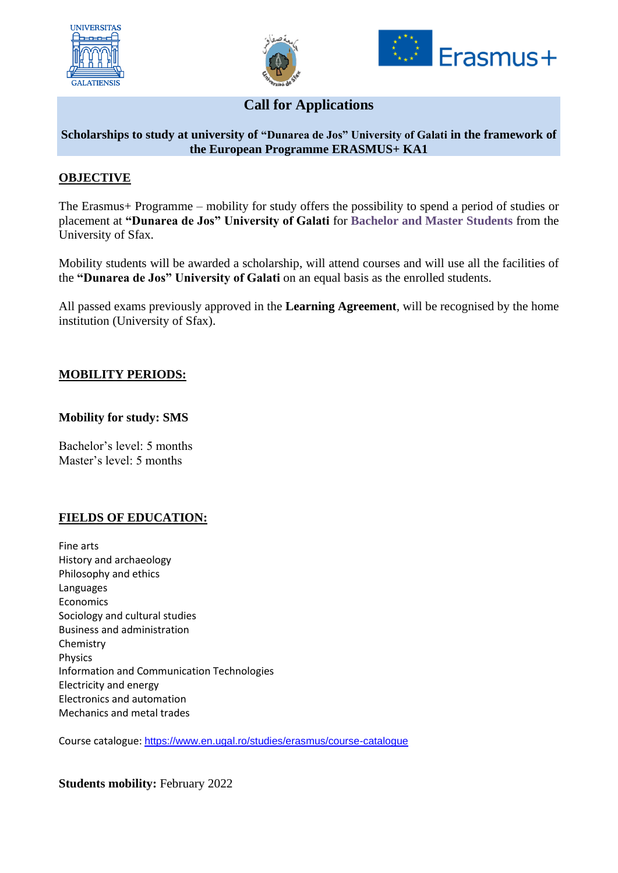





# **Call for Applications**

#### **Scholarships to study at university of "Dunarea de Jos" University of Galati in the framework of the European Programme ERASMUS+ KA1**

### **OBJECTIVE**

The Erasmus+ Programme – mobility for study offers the possibility to spend a period of studies or placement at **"Dunarea de Jos" University of Galati** for **Bachelor and Master Students** from the University of Sfax.

Mobility students will be awarded a scholarship, will attend courses and will use all the facilities of the **"Dunarea de Jos" University of Galati** on an equal basis as the enrolled students.

All passed exams previously approved in the **Learning Agreement**, will be recognised by the home institution (University of Sfax).

#### **MOBILITY PERIODS:**

#### **Mobility for study: SMS**

Bachelor's level: 5 months Master's level: 5 months

# **FIELDS OF EDUCATION:**

Fine arts History and archaeology Philosophy and ethics Languages Economics Sociology and cultural studies Business and administration Chemistry Physics Information and Communication Technologies Electricity and energy Electronics and automation Mechanics and metal trades

Course catalogue: <https://www.en.ugal.ro/studies/erasmus/course-catalogue>

**Students mobility:** February 2022